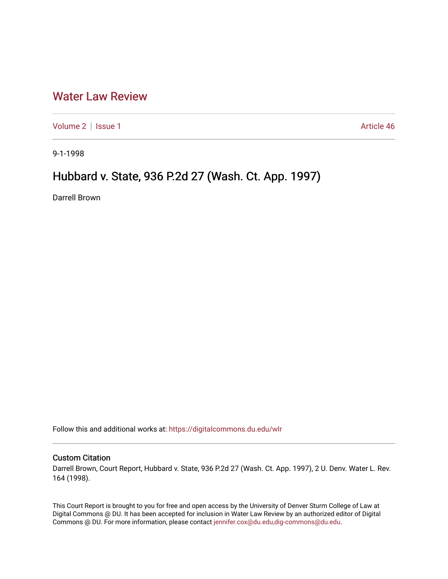## [Water Law Review](https://digitalcommons.du.edu/wlr)

[Volume 2](https://digitalcommons.du.edu/wlr/vol2) | [Issue 1](https://digitalcommons.du.edu/wlr/vol2/iss1) Article 46

9-1-1998

## Hubbard v. State, 936 P.2d 27 (Wash. Ct. App. 1997)

Darrell Brown

Follow this and additional works at: [https://digitalcommons.du.edu/wlr](https://digitalcommons.du.edu/wlr?utm_source=digitalcommons.du.edu%2Fwlr%2Fvol2%2Fiss1%2F46&utm_medium=PDF&utm_campaign=PDFCoverPages) 

## Custom Citation

Darrell Brown, Court Report, Hubbard v. State, 936 P.2d 27 (Wash. Ct. App. 1997), 2 U. Denv. Water L. Rev. 164 (1998).

This Court Report is brought to you for free and open access by the University of Denver Sturm College of Law at Digital Commons @ DU. It has been accepted for inclusion in Water Law Review by an authorized editor of Digital Commons @ DU. For more information, please contact [jennifer.cox@du.edu,dig-commons@du.edu.](mailto:jennifer.cox@du.edu,dig-commons@du.edu)